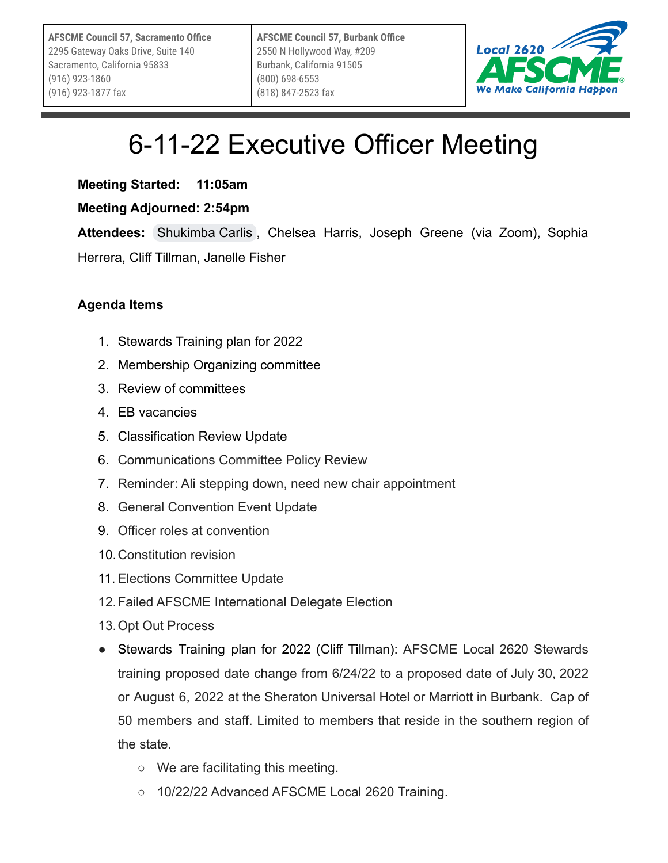

## 6-11-22 Executive Officer Meeting

**Meeting Started: 11:05am**

## **Meeting Adjourned: 2:54pm**

**Attendees:** [Shukimba Carlis](mailto:president@afscmelocal2620.org) , Chelsea Harris, Joseph Greene (via Zoom), Sophia

Herrera, Cliff Tillman, Janelle Fisher

## **Agenda Items**

- 1. Stewards Training plan for 2022
- 2. Membership Organizing committee
- 3. Review of committees
- 4. EB vacancies
- 5. Classification Review Update
- 6. Communications Committee Policy Review
- 7. Reminder: Ali stepping down, need new chair appointment
- 8. General Convention Event Update
- 9. Officer roles at convention
- 10.Constitution revision
- 11. Elections Committee Update
- 12.Failed AFSCME International Delegate Election
- 13.Opt Out Process
- Stewards Training plan for 2022 (Cliff Tillman): AFSCME Local 2620 Stewards training proposed date change from 6/24/22 to a proposed date of July 30, 2022 or August 6, 2022 at the Sheraton Universal Hotel or Marriott in Burbank. Cap of 50 members and staff. Limited to members that reside in the southern region of the state.
	- We are facilitating this meeting.
	- 10/22/22 Advanced AFSCME Local 2620 Training.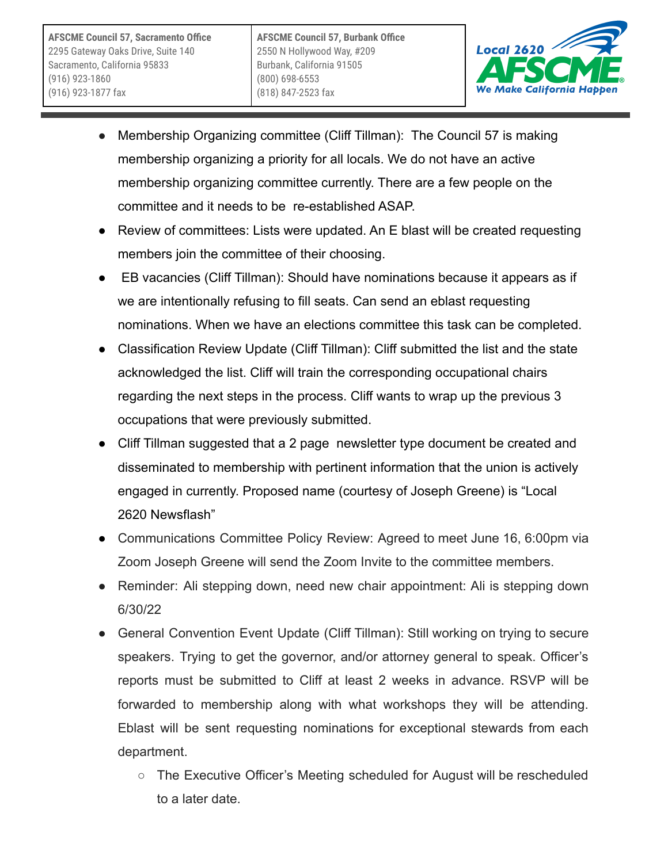**AFSCME Council 57, Sacramento Office** 2295 Gateway Oaks Drive, Suite 140 Sacramento, California 95833 (916) 923-1860 (916) 923-1877 fax



- Membership Organizing committee (Cliff Tillman): The Council 57 is making membership organizing a priority for all locals. We do not have an active membership organizing committee currently. There are a few people on the committee and it needs to be re-established ASAP.
- Review of committees: Lists were updated. An E blast will be created requesting members join the committee of their choosing.
- EB vacancies (Cliff Tillman): Should have nominations because it appears as if we are intentionally refusing to fill seats. Can send an eblast requesting nominations. When we have an elections committee this task can be completed.
- Classification Review Update (Cliff Tillman): Cliff submitted the list and the state acknowledged the list. Cliff will train the corresponding occupational chairs regarding the next steps in the process. Cliff wants to wrap up the previous 3 occupations that were previously submitted.
- Cliff Tillman suggested that a 2 page newsletter type document be created and disseminated to membership with pertinent information that the union is actively engaged in currently. Proposed name (courtesy of Joseph Greene) is "Local 2620 Newsflash"
- Communications Committee Policy Review: Agreed to meet June 16, 6:00pm via Zoom Joseph Greene will send the Zoom Invite to the committee members.
- Reminder: Ali stepping down, need new chair appointment: Ali is stepping down 6/30/22
- General Convention Event Update (Cliff Tillman): Still working on trying to secure speakers. Trying to get the governor, and/or attorney general to speak. Officer's reports must be submitted to Cliff at least 2 weeks in advance. RSVP will be forwarded to membership along with what workshops they will be attending. Eblast will be sent requesting nominations for exceptional stewards from each department.
	- The Executive Officer's Meeting scheduled for August will be rescheduled to a later date.